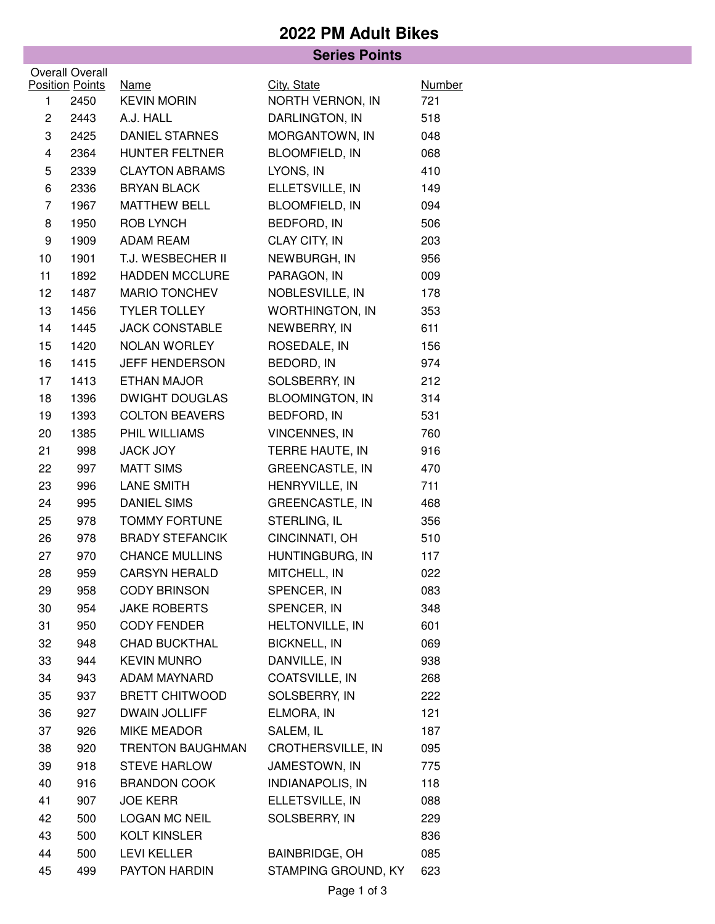## **2022 PM Adult Bikes**

| <b>Series Points</b> |                        |                                 |                                    |               |  |  |  |  |
|----------------------|------------------------|---------------------------------|------------------------------------|---------------|--|--|--|--|
|                      | <b>Overall Overall</b> |                                 |                                    |               |  |  |  |  |
|                      | <b>Position Points</b> | <b>Name</b>                     | City, State                        | <b>Number</b> |  |  |  |  |
| $\mathbf{1}$         | 2450                   | <b>KEVIN MORIN</b><br>A.J. HALL | NORTH VERNON, IN<br>DARLINGTON, IN | 721           |  |  |  |  |
| $\overline{c}$       | 2443                   |                                 |                                    | 518           |  |  |  |  |
| 3                    | 2425                   | <b>DANIEL STARNES</b>           | MORGANTOWN, IN                     | 048           |  |  |  |  |
| 4                    | 2364                   | HUNTER FELTNER                  | <b>BLOOMFIELD, IN</b>              | 068           |  |  |  |  |
| 5                    | 2339                   | <b>CLAYTON ABRAMS</b>           | LYONS, IN                          | 410           |  |  |  |  |
| 6                    | 2336                   | <b>BRYAN BLACK</b>              | ELLETSVILLE, IN                    | 149           |  |  |  |  |
| $\overline{7}$       | 1967                   | <b>MATTHEW BELL</b>             | <b>BLOOMFIELD, IN</b>              | 094           |  |  |  |  |
| 8                    | 1950                   | ROB LYNCH                       | BEDFORD, IN                        | 506           |  |  |  |  |
| 9                    | 1909                   | ADAM REAM                       | CLAY CITY, IN                      | 203           |  |  |  |  |
| 10                   | 1901                   | T.J. WESBECHER II               | NEWBURGH, IN                       | 956           |  |  |  |  |
| 11                   | 1892                   | <b>HADDEN MCCLURE</b>           | PARAGON, IN                        | 009           |  |  |  |  |
| 12                   | 1487                   | <b>MARIO TONCHEV</b>            | NOBLESVILLE, IN                    | 178           |  |  |  |  |
| 13                   | 1456                   | <b>TYLER TOLLEY</b>             | <b>WORTHINGTON, IN</b>             | 353           |  |  |  |  |
| 14                   | 1445                   | <b>JACK CONSTABLE</b>           | NEWBERRY, IN                       | 611           |  |  |  |  |
| 15                   | 1420                   | NOLAN WORLEY                    | ROSEDALE, IN                       | 156           |  |  |  |  |
| 16                   | 1415                   | <b>JEFF HENDERSON</b>           | BEDORD, IN                         | 974           |  |  |  |  |
| 17                   | 1413                   | <b>ETHAN MAJOR</b>              | SOLSBERRY, IN                      | 212           |  |  |  |  |
| 18                   | 1396                   | <b>DWIGHT DOUGLAS</b>           | <b>BLOOMINGTON, IN</b>             | 314           |  |  |  |  |
| 19                   | 1393                   | <b>COLTON BEAVERS</b>           | BEDFORD, IN                        | 531           |  |  |  |  |
| 20                   | 1385                   | PHIL WILLIAMS                   | <b>VINCENNES, IN</b>               | 760           |  |  |  |  |
| 21                   | 998                    | JACK JOY                        | TERRE HAUTE, IN                    | 916           |  |  |  |  |
| 22                   | 997                    | <b>MATT SIMS</b>                | <b>GREENCASTLE, IN</b>             | 470           |  |  |  |  |
| 23                   | 996                    | <b>LANE SMITH</b>               | HENRYVILLE, IN                     | 711           |  |  |  |  |
| 24                   | 995                    | <b>DANIEL SIMS</b>              | <b>GREENCASTLE, IN</b>             | 468           |  |  |  |  |
| 25                   | 978                    | <b>TOMMY FORTUNE</b>            | STERLING, IL                       | 356           |  |  |  |  |
| 26                   | 978                    | <b>BRADY STEFANCIK</b>          | CINCINNATI, OH                     | 510           |  |  |  |  |
| 27                   | 970                    | <b>CHANCE MULLINS</b>           | HUNTINGBURG, IN                    | 117           |  |  |  |  |
| 28                   | 959                    | <b>CARSYN HERALD</b>            | MITCHELL, IN                       | 022           |  |  |  |  |
| 29                   | 958                    | <b>CODY BRINSON</b>             | SPENCER, IN                        | 083           |  |  |  |  |
| 30                   | 954                    | <b>JAKE ROBERTS</b>             | SPENCER, IN                        | 348           |  |  |  |  |
| 31                   | 950                    | <b>CODY FENDER</b>              | <b>HELTONVILLE, IN</b>             | 601           |  |  |  |  |
| 32                   | 948                    | <b>CHAD BUCKTHAL</b>            | <b>BICKNELL, IN</b>                | 069           |  |  |  |  |
| 33                   | 944                    | <b>KEVIN MUNRO</b>              | DANVILLE, IN                       | 938           |  |  |  |  |
| 34                   | 943                    | ADAM MAYNARD                    | COATSVILLE, IN                     | 268           |  |  |  |  |
| 35                   | 937                    | <b>BRETT CHITWOOD</b>           | SOLSBERRY, IN                      | 222           |  |  |  |  |
| 36                   | 927                    | <b>DWAIN JOLLIFF</b>            | ELMORA, IN                         | 121           |  |  |  |  |
| 37                   | 926                    | <b>MIKE MEADOR</b>              | SALEM, IL                          | 187           |  |  |  |  |
| 38                   | 920                    | <b>TRENTON BAUGHMAN</b>         | CROTHERSVILLE, IN                  | 095           |  |  |  |  |
| 39                   | 918                    | <b>STEVE HARLOW</b>             | JAMESTOWN, IN                      | 775           |  |  |  |  |
| 40                   | 916                    | <b>BRANDON COOK</b>             | <b>INDIANAPOLIS, IN</b>            | 118           |  |  |  |  |
| 41                   | 907                    | <b>JOE KERR</b>                 | ELLETSVILLE, IN                    | 088           |  |  |  |  |
| 42                   | 500                    | <b>LOGAN MC NEIL</b>            | SOLSBERRY, IN                      | 229           |  |  |  |  |
| 43                   | 500                    | <b>KOLT KINSLER</b>             |                                    | 836           |  |  |  |  |
| 44                   | 500                    | <b>LEVI KELLER</b>              | <b>BAINBRIDGE, OH</b>              | 085           |  |  |  |  |
| 45                   | 499                    | PAYTON HARDIN                   | STAMPING GROUND, KY                | 623           |  |  |  |  |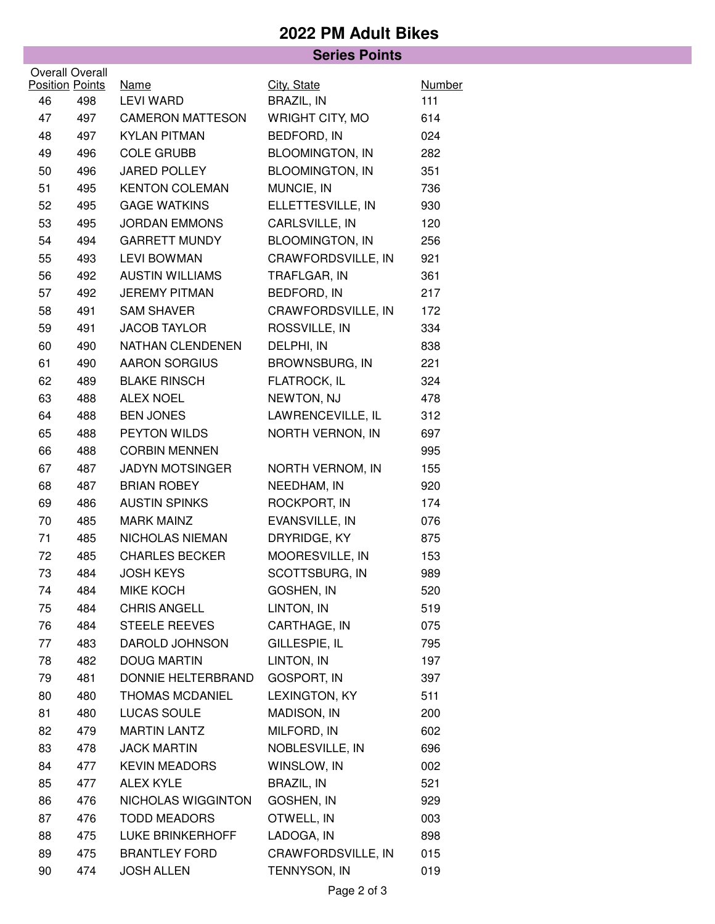## **2022 PM Adult Bikes**

|                        |     | <b>Series Points</b>            |                                      |                      |  |  |  |
|------------------------|-----|---------------------------------|--------------------------------------|----------------------|--|--|--|
| Overall Overall        |     |                                 |                                      |                      |  |  |  |
| <b>Position Points</b> |     | <b>Name</b><br><b>LEVI WARD</b> | City, State                          | <b>Number</b><br>111 |  |  |  |
| 46                     | 498 |                                 | BRAZIL, IN<br><b>WRIGHT CITY, MO</b> |                      |  |  |  |
| 47                     | 497 | <b>CAMERON MATTESON</b>         |                                      | 614                  |  |  |  |
| 48                     | 497 | <b>KYLAN PITMAN</b>             | BEDFORD, IN                          | 024                  |  |  |  |
| 49                     | 496 | <b>COLE GRUBB</b>               | <b>BLOOMINGTON, IN</b>               | 282                  |  |  |  |
| 50                     | 496 | <b>JARED POLLEY</b>             | <b>BLOOMINGTON, IN</b>               | 351                  |  |  |  |
| 51                     | 495 | <b>KENTON COLEMAN</b>           | MUNCIE, IN                           | 736                  |  |  |  |
| 52                     | 495 | <b>GAGE WATKINS</b>             | ELLETTESVILLE, IN                    | 930                  |  |  |  |
| 53                     | 495 | <b>JORDAN EMMONS</b>            | CARLSVILLE, IN                       | 120                  |  |  |  |
| 54                     | 494 | <b>GARRETT MUNDY</b>            | <b>BLOOMINGTON, IN</b>               | 256                  |  |  |  |
| 55                     | 493 | <b>LEVI BOWMAN</b>              | CRAWFORDSVILLE, IN                   | 921                  |  |  |  |
| 56                     | 492 | <b>AUSTIN WILLIAMS</b>          | TRAFLGAR, IN                         | 361                  |  |  |  |
| 57                     | 492 | <b>JEREMY PITMAN</b>            | BEDFORD, IN                          | 217                  |  |  |  |
| 58                     | 491 | <b>SAM SHAVER</b>               | CRAWFORDSVILLE, IN                   | 172                  |  |  |  |
| 59                     | 491 | <b>JACOB TAYLOR</b>             | ROSSVILLE, IN                        | 334                  |  |  |  |
| 60                     | 490 | NATHAN CLENDENEN                | DELPHI, IN                           | 838                  |  |  |  |
| 61                     | 490 | <b>AARON SORGIUS</b>            | <b>BROWNSBURG, IN</b>                | 221                  |  |  |  |
| 62                     | 489 | <b>BLAKE RINSCH</b>             | FLATROCK, IL                         | 324                  |  |  |  |
| 63                     | 488 | <b>ALEX NOEL</b>                | NEWTON, NJ                           | 478                  |  |  |  |
| 64                     | 488 | <b>BEN JONES</b>                | LAWRENCEVILLE, IL                    | 312                  |  |  |  |
| 65                     | 488 | PEYTON WILDS                    | NORTH VERNON, IN                     | 697                  |  |  |  |
| 66                     | 488 | <b>CORBIN MENNEN</b>            |                                      | 995                  |  |  |  |
| 67                     | 487 | <b>JADYN MOTSINGER</b>          | NORTH VERNOM, IN                     | 155                  |  |  |  |
| 68                     | 487 | <b>BRIAN ROBEY</b>              | NEEDHAM, IN                          | 920                  |  |  |  |
| 69                     | 486 | <b>AUSTIN SPINKS</b>            | ROCKPORT, IN                         | 174                  |  |  |  |
| 70                     | 485 | <b>MARK MAINZ</b>               | EVANSVILLE, IN                       | 076                  |  |  |  |
| 71                     | 485 | NICHOLAS NIEMAN                 | DRYRIDGE, KY                         | 875                  |  |  |  |
| 72                     | 485 | <b>CHARLES BECKER</b>           | MOORESVILLE, IN                      | 153                  |  |  |  |
| 73                     | 484 | <b>JOSH KEYS</b>                | SCOTTSBURG, IN                       | 989                  |  |  |  |
| 74                     | 484 | <b>MIKE KOCH</b>                | <b>GOSHEN, IN</b>                    | 520                  |  |  |  |
| 75                     | 484 | <b>CHRIS ANGELL</b>             | LINTON, IN                           | 519                  |  |  |  |
| 76                     | 484 | <b>STEELE REEVES</b>            | CARTHAGE, IN                         | 075                  |  |  |  |
| 77                     | 483 | DAROLD JOHNSON                  | GILLESPIE, IL                        | 795                  |  |  |  |
| 78                     | 482 | <b>DOUG MARTIN</b>              | LINTON, IN                           | 197                  |  |  |  |
| 79                     | 481 | DONNIE HELTERBRAND              | GOSPORT, IN                          | 397                  |  |  |  |
| 80                     | 480 | <b>THOMAS MCDANIEL</b>          | LEXINGTON, KY                        | 511                  |  |  |  |
| 81                     | 480 | LUCAS SOULE                     | MADISON, IN                          | 200                  |  |  |  |
| 82                     | 479 | <b>MARTIN LANTZ</b>             | MILFORD, IN                          | 602                  |  |  |  |
| 83                     | 478 | <b>JACK MARTIN</b>              | NOBLESVILLE, IN                      | 696                  |  |  |  |
| 84                     | 477 | <b>KEVIN MEADORS</b>            | WINSLOW, IN                          | 002                  |  |  |  |
| 85                     | 477 | <b>ALEX KYLE</b>                | <b>BRAZIL, IN</b>                    | 521                  |  |  |  |
| 86                     | 476 | NICHOLAS WIGGINTON              | GOSHEN, IN                           | 929                  |  |  |  |
| 87                     | 476 | <b>TODD MEADORS</b>             | OTWELL, IN                           | 003                  |  |  |  |
| 88                     | 475 | <b>LUKE BRINKERHOFF</b>         | LADOGA, IN                           | 898                  |  |  |  |
| 89                     | 475 | <b>BRANTLEY FORD</b>            | CRAWFORDSVILLE, IN                   | 015                  |  |  |  |
| 90                     | 474 | <b>JOSH ALLEN</b>               | TENNYSON, IN                         | 019                  |  |  |  |